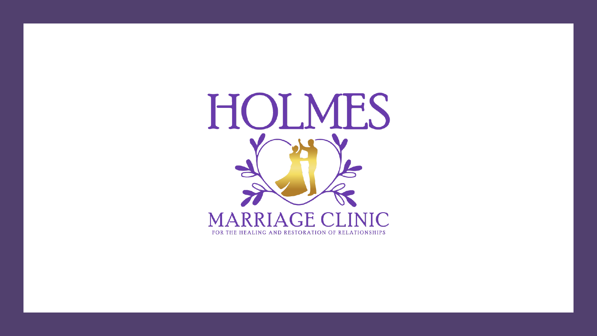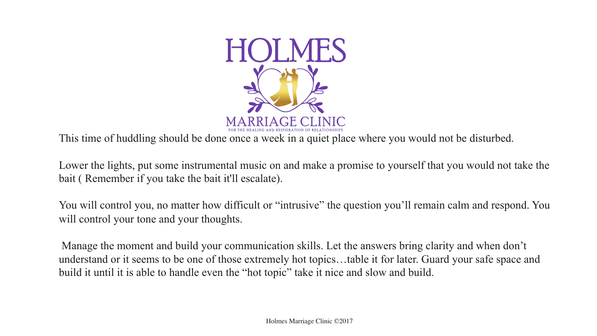

This time of huddling should be done once a week in a quiet place where you would not be disturbed.

Lower the lights, put some instrumental music on and make a promise to yourself that you would not take the bait ( Remember if you take the bait it'll escalate).

You will control you, no matter how difficult or "intrusive" the question you'll remain calm and respond. You will control your tone and your thoughts.

Manage the moment and build your communication skills. Let the answers bring clarity and when don't understand or it seems to be one of those extremely hot topics…table it for later. Guard your safe space and build it until it is able to handle even the "hot topic" take it nice and slow and build.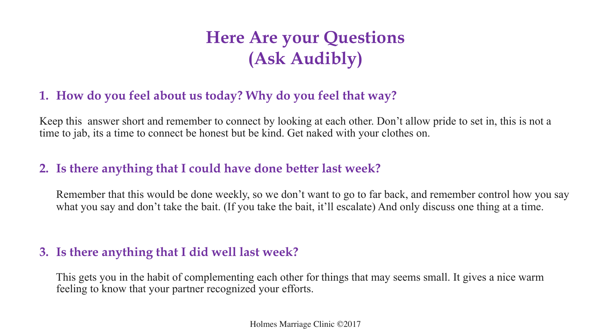# **Here Are your Questions (Ask Audibly)**

### **1. How do you feel about us today? Why do you feel that way?**

Keep this answer short and remember to connect by looking at each other. Don't allow pride to set in, this is not a time to jab, its a time to connect be honest but be kind. Get naked with your clothes on.

## **2. Is there anything that I could have done better last week?**

Remember that this would be done weekly, so we don't want to go to far back, and remember control how you say what you say and don't take the bait. (If you take the bait, it'll escalate) And only discuss one thing at a time.

### **3. Is there anything that I did well last week?**

This gets you in the habit of complementing each other for things that may seems small. It gives a nice warm feeling to know that your partner recognized your efforts.